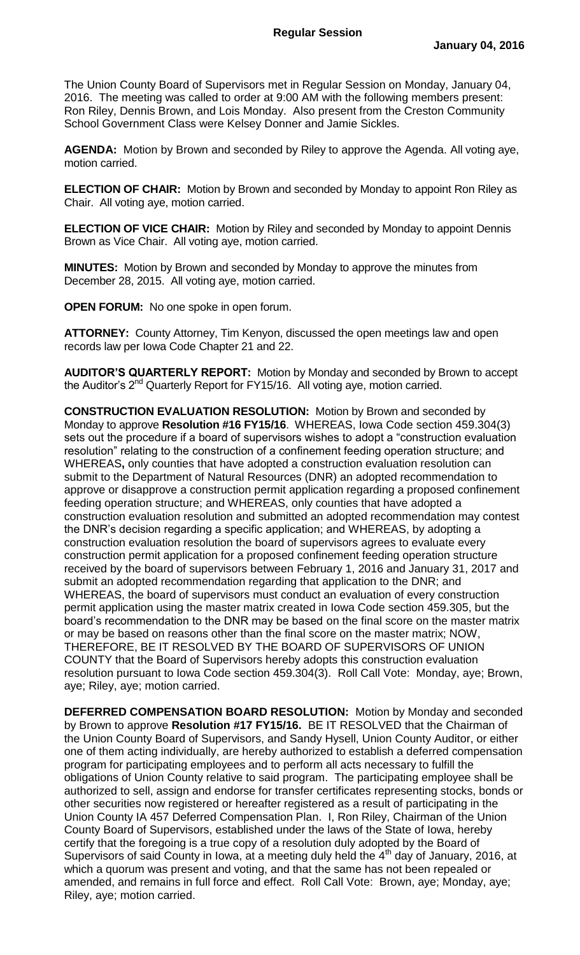The Union County Board of Supervisors met in Regular Session on Monday, January 04, 2016. The meeting was called to order at 9:00 AM with the following members present: Ron Riley, Dennis Brown, and Lois Monday. Also present from the Creston Community School Government Class were Kelsey Donner and Jamie Sickles.

**AGENDA:** Motion by Brown and seconded by Riley to approve the Agenda. All voting aye, motion carried.

**ELECTION OF CHAIR:** Motion by Brown and seconded by Monday to appoint Ron Riley as Chair. All voting aye, motion carried.

**ELECTION OF VICE CHAIR:** Motion by Riley and seconded by Monday to appoint Dennis Brown as Vice Chair. All voting aye, motion carried.

**MINUTES:** Motion by Brown and seconded by Monday to approve the minutes from December 28, 2015. All voting aye, motion carried.

**OPEN FORUM:** No one spoke in open forum.

**ATTORNEY:** County Attorney, Tim Kenyon, discussed the open meetings law and open records law per Iowa Code Chapter 21 and 22.

**AUDITOR'S QUARTERLY REPORT:** Motion by Monday and seconded by Brown to accept the Auditor's  $2^{nd}$  Quarterly Report for FY15/16. All voting aye, motion carried.

**CONSTRUCTION EVALUATION RESOLUTION:** Motion by Brown and seconded by Monday to approve **Resolution #16 FY15/16**. WHEREAS, Iowa Code section 459.304(3) sets out the procedure if a board of supervisors wishes to adopt a "construction evaluation resolution" relating to the construction of a confinement feeding operation structure; and WHEREAS**,** only counties that have adopted a construction evaluation resolution can submit to the Department of Natural Resources (DNR) an adopted recommendation to approve or disapprove a construction permit application regarding a proposed confinement feeding operation structure; and WHEREAS, only counties that have adopted a construction evaluation resolution and submitted an adopted recommendation may contest the DNR's decision regarding a specific application; and WHEREAS, by adopting a construction evaluation resolution the board of supervisors agrees to evaluate every construction permit application for a proposed confinement feeding operation structure received by the board of supervisors between February 1, 2016 and January 31, 2017 and submit an adopted recommendation regarding that application to the DNR; and WHEREAS, the board of supervisors must conduct an evaluation of every construction permit application using the master matrix created in Iowa Code section 459.305, but the board's recommendation to the DNR may be based on the final score on the master matrix or may be based on reasons other than the final score on the master matrix; NOW, THEREFORE, BE IT RESOLVED BY THE BOARD OF SUPERVISORS OF UNION COUNTY that the Board of Supervisors hereby adopts this construction evaluation resolution pursuant to Iowa Code section 459.304(3). Roll Call Vote: Monday, aye; Brown, aye; Riley, aye; motion carried.

**DEFERRED COMPENSATION BOARD RESOLUTION:** Motion by Monday and seconded by Brown to approve **Resolution #17 FY15/16.** BE IT RESOLVED that the Chairman of the Union County Board of Supervisors, and Sandy Hysell, Union County Auditor, or either one of them acting individually, are hereby authorized to establish a deferred compensation program for participating employees and to perform all acts necessary to fulfill the obligations of Union County relative to said program. The participating employee shall be authorized to sell, assign and endorse for transfer certificates representing stocks, bonds or other securities now registered or hereafter registered as a result of participating in the Union County IA 457 Deferred Compensation Plan. I, Ron Riley, Chairman of the Union County Board of Supervisors, established under the laws of the State of Iowa, hereby certify that the foregoing is a true copy of a resolution duly adopted by the Board of Supervisors of said County in Iowa, at a meeting duly held the  $4<sup>th</sup>$  day of January, 2016, at which a quorum was present and voting, and that the same has not been repealed or amended, and remains in full force and effect. Roll Call Vote: Brown, aye; Monday, aye; Riley, aye; motion carried.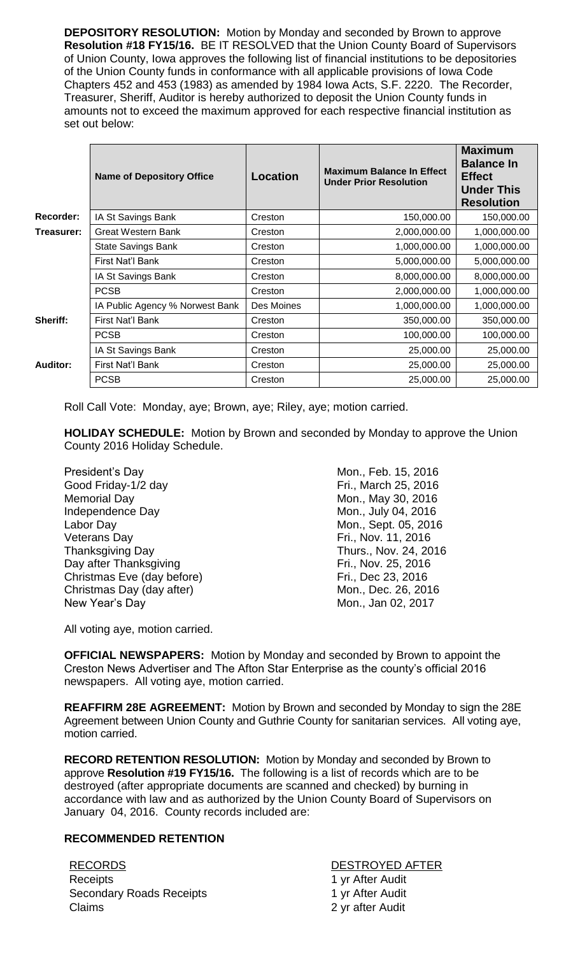**DEPOSITORY RESOLUTION:** Motion by Monday and seconded by Brown to approve **Resolution #18 FY15/16.** BE IT RESOLVED that the Union County Board of Supervisors of Union County, Iowa approves the following list of financial institutions to be depositories of the Union County funds in conformance with all applicable provisions of Iowa Code Chapters 452 and 453 (1983) as amended by 1984 Iowa Acts, S.F. 2220. The Recorder, Treasurer, Sheriff, Auditor is hereby authorized to deposit the Union County funds in amounts not to exceed the maximum approved for each respective financial institution as set out below:

|                 | <b>Name of Depository Office</b> | <b>Location</b> | <b>Maximum Balance In Effect</b><br><b>Under Prior Resolution</b> | <b>Maximum</b><br><b>Balance In</b><br><b>Effect</b><br><b>Under This</b><br><b>Resolution</b> |
|-----------------|----------------------------------|-----------------|-------------------------------------------------------------------|------------------------------------------------------------------------------------------------|
| Recorder:       | IA St Savings Bank               | Creston         | 150,000.00                                                        | 150,000.00                                                                                     |
| Treasurer:      | <b>Great Western Bank</b>        | Creston         | 2,000,000.00                                                      | 1,000,000.00                                                                                   |
|                 | <b>State Savings Bank</b>        | Creston         | 1,000,000.00                                                      | 1,000,000.00                                                                                   |
|                 | First Nat'l Bank                 | Creston         | 5,000,000.00                                                      | 5,000,000.00                                                                                   |
|                 | IA St Savings Bank               | Creston         | 8,000,000.00                                                      | 8,000,000.00                                                                                   |
|                 | <b>PCSB</b>                      | Creston         | 2,000,000.00                                                      | 1,000,000.00                                                                                   |
|                 | IA Public Agency % Norwest Bank  | Des Moines      | 1,000,000.00                                                      | 1,000,000.00                                                                                   |
| Sheriff:        | First Nat'l Bank                 | Creston         | 350,000.00                                                        | 350,000.00                                                                                     |
|                 | <b>PCSB</b>                      | Creston         | 100,000.00                                                        | 100,000.00                                                                                     |
|                 | IA St Savings Bank               | Creston         | 25,000.00                                                         | 25,000.00                                                                                      |
| <b>Auditor:</b> | First Nat'l Bank                 | Creston         | 25,000.00                                                         | 25,000.00                                                                                      |
|                 | <b>PCSB</b>                      | Creston         | 25,000.00                                                         | 25,000.00                                                                                      |

Roll Call Vote: Monday, aye; Brown, aye; Riley, aye; motion carried.

**HOLIDAY SCHEDULE:** Motion by Brown and seconded by Monday to approve the Union County 2016 Holiday Schedule.

President's Day **Mon.**, Feb. 15, 2016 Good Friday-1/2 day Fri., March 25, 2016 Memorial Day **Mon.**, May 30, 2016 Independence Day Mon., July 04, 2016 Labor Day **Mon.**, Sept. 05, 2016 Veterans Day **Fri.**, Nov. 11, 2016 Thanksgiving Day **Thurs., Nov. 24, 2016** Day after Thanksgiving The Contract Contract Contract Contract Contract Contract Contract Contract Contract Contract Contract Contract Contract Contract Contract Contract Contract Contract Contract Contract Contract Contra Christmas Eve (day before) Fri., Dec 23, 2016 Christmas Day (day after) Mon., Dec. 26, 2016 New Year's Day **Mon.**, Jan 02, 2017

All voting aye, motion carried.

**OFFICIAL NEWSPAPERS:** Motion by Monday and seconded by Brown to appoint the Creston News Advertiser and The Afton Star Enterprise as the county's official 2016 newspapers. All voting aye, motion carried.

**REAFFIRM 28E AGREEMENT:** Motion by Brown and seconded by Monday to sign the 28E Agreement between Union County and Guthrie County for sanitarian services. All voting aye, motion carried.

**RECORD RETENTION RESOLUTION:** Motion by Monday and seconded by Brown to approve **Resolution #19 FY15/16.** The following is a list of records which are to be destroyed (after appropriate documents are scanned and checked) by burning in accordance with law and as authorized by the Union County Board of Supervisors on January 04, 2016. County records included are:

## **RECOMMENDED RETENTION**

RECORDS DESTROYED AFTER Receipts **1** yr After Audit Secondary Roads Receipts 1 yr After Audit Claims 2 yr after Audit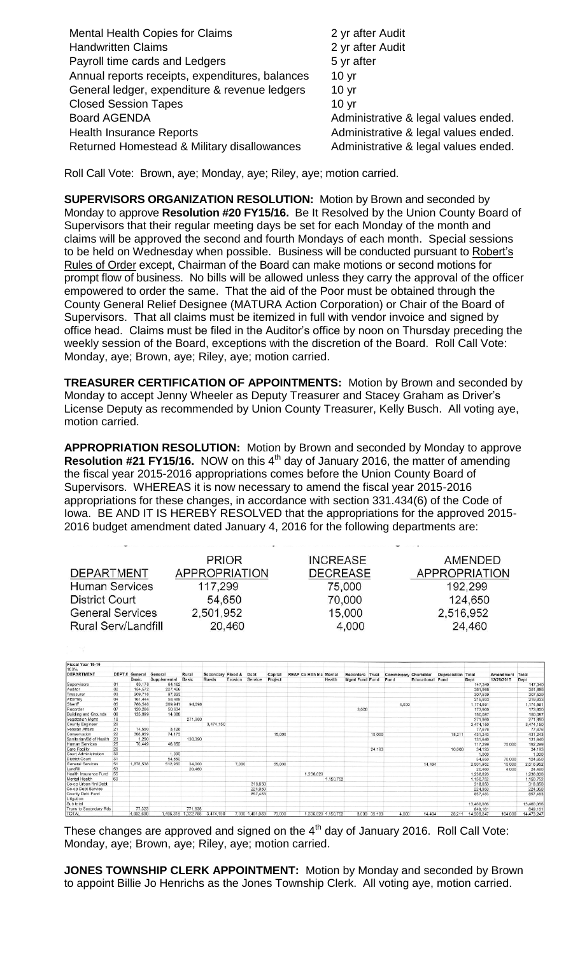| <b>Mental Health Copies for Claims</b>          | 2 yr after Audit                     |
|-------------------------------------------------|--------------------------------------|
| <b>Handwritten Claims</b>                       | 2 yr after Audit                     |
| Payroll time cards and Ledgers                  | 5 yr after                           |
| Annual reports receipts, expenditures, balances | 10 <sub>yr</sub>                     |
| General ledger, expenditure & revenue ledgers   | 10 <sub>yr</sub>                     |
| <b>Closed Session Tapes</b>                     | 10 <sub>yr</sub>                     |
| <b>Board AGENDA</b>                             | Administrative & legal values ended. |
| <b>Health Insurance Reports</b>                 | Administrative & legal values ended. |
| Returned Homestead & Military disallowances     | Administrative & legal values ended. |

Roll Call Vote: Brown, aye; Monday, aye; Riley, aye; motion carried.

**SUPERVISORS ORGANIZATION RESOLUTION:** Motion by Brown and seconded by Monday to approve **Resolution #20 FY15/16.** Be It Resolved by the Union County Board of Supervisors that their regular meeting days be set for each Monday of the month and claims will be approved the second and fourth Mondays of each month. Special sessions to be held on Wednesday when possible. Business will be conducted pursuant to Robert's Rules of Order except, Chairman of the Board can make motions or second motions for prompt flow of business. No bills will be allowed unless they carry the approval of the officer empowered to order the same. That the aid of the Poor must be obtained through the County General Relief Designee (MATURA Action Corporation) or Chair of the Board of Supervisors. That all claims must be itemized in full with vendor invoice and signed by office head. Claims must be filed in the Auditor's office by noon on Thursday preceding the weekly session of the Board, exceptions with the discretion of the Board. Roll Call Vote: Monday, aye; Brown, aye; Riley, aye; motion carried.

**TREASURER CERTIFICATION OF APPOINTMENTS:** Motion by Brown and seconded by Monday to accept Jenny Wheeler as Deputy Treasurer and Stacey Graham as Driver's License Deputy as recommended by Union County Treasurer, Kelly Busch. All voting aye, motion carried.

**APPROPRIATION RESOLUTION:** Motion by Brown and seconded by Monday to approve **Resolution #21 FY15/16.** NOW on this 4<sup>th</sup> day of January 2016, the matter of amending the fiscal year 2015-2016 appropriations comes before the Union County Board of Supervisors. WHEREAS it is now necessary to amend the fiscal year 2015-2016 appropriations for these changes, in accordance with section 331.434(6) of the Code of Iowa. BE AND IT IS HEREBY RESOLVED that the appropriations for the approved 2015- 2016 budget amendment dated January 4, 2016 for the following departments are:

|                         | <b>PRIOR</b>  | <b>INCREASE</b> | AMENDED              |
|-------------------------|---------------|-----------------|----------------------|
| DEPARTMENT              | APPROPRIATION | <b>DECREASE</b> | <b>APPROPRIATION</b> |
| <b>Human Services</b>   | 117,299       | 75,000          | 192,299              |
| <b>District Court</b>   | 54,650        | 70,000          | 124,650              |
| <b>General Services</b> | 2,501,952     | 15,000          | 2,516,952            |
| Rural Serv/Landfill     | 20,460        | 4,000           | 24,460               |

| Fiscal Year 15-16       |        |           |              |                     |                   |         |                 |         |                                |                     |                 |              |                       |                         |                    |            |            |            |
|-------------------------|--------|-----------|--------------|---------------------|-------------------|---------|-----------------|---------|--------------------------------|---------------------|-----------------|--------------|-----------------------|-------------------------|--------------------|------------|------------|------------|
| 100%                    |        |           |              |                     |                   |         |                 |         |                                |                     |                 |              |                       |                         |                    |            |            |            |
| DEPARTMENT              | DEPT # | General   | General      | Rural               | Secondary Flood & |         | Debt            | Capital | <b>REAP Co Hith Ins Mental</b> |                     | Recorders Trust |              | Comminsary Chartable/ |                         | Depreciation Total |            | Amendment  | Total      |
|                         |        | Basic     | Supplemental | Basic               | Roads             | Erosion | Service         | Project |                                | Health              | Mgmt Fund Fund  |              | Fund                  | <b>Educational Fund</b> |                    | Dept       | 12/28/2015 | Dept       |
| Supervisors             | 01     | 83,178    | 64.162       |                     |                   |         |                 |         |                                |                     |                 |              |                       |                         |                    | 147,340    |            | 147,340    |
| Auditor                 | 02     | 154,572   | 227.426      |                     |                   |         |                 |         |                                |                     |                 |              |                       |                         |                    | 381,998    |            | 381,998    |
| Treasurer               | 03     | 209,716   | 97,823       |                     |                   |         |                 |         |                                |                     |                 |              |                       |                         |                    | 307,539    |            | 307,539    |
| Attorney                | 04     | 161,444   | 58.489       |                     |                   |         |                 |         |                                |                     |                 |              |                       |                         |                    | 219,933    |            | 219,933    |
| Sheriff                 | 05     | 786,546   | 289.947      | 94.098              |                   |         |                 |         |                                |                     |                 |              | 4,000                 |                         |                    | 1.174.591  |            | 1,174,591  |
| Recorder                | 07     | 120,266   | 50.634       |                     |                   |         |                 |         |                                |                     | 3.000           |              |                       |                         |                    | 173,900    |            | 173,900    |
| Building and Grounds    | 08     | 135,999   | 14.088       |                     |                   |         |                 |         |                                |                     |                 |              |                       |                         |                    | 150,087    |            | 150,087    |
| Vegatation Mgmt         | 18     |           |              | 271,980             |                   |         |                 |         |                                |                     |                 |              |                       |                         |                    | 271,980    |            | 271,980    |
| County Engineer         | 20     |           |              |                     | 3,474,150         |         |                 |         |                                |                     |                 |              |                       |                         |                    | 3,474,150  |            | 3,474,150  |
| Veteran Affairs         | 21     | 74,550    | 3.126        |                     |                   |         |                 |         |                                |                     |                 |              |                       |                         |                    | 77,676     |            | 77,676     |
| Conservation            | 22     | 308,859   | 74.173       |                     |                   |         |                 | 15,000  |                                |                     |                 | 15,000       |                       |                         | 18.211             | 431.243    |            | 431,243    |
| Sanitarian/Bd of Health | 23     | 1.250     |              | 130,390             |                   |         |                 |         |                                |                     |                 |              |                       |                         |                    | 131,640    |            | 131,640    |
| <b>Human Services</b>   | 25     | 70,449    | 46.850       |                     |                   |         |                 |         |                                |                     |                 |              |                       |                         |                    | 117,299    | 75.000     | 192,299    |
| Care Facility           | 26     |           |              |                     |                   |         |                 |         |                                |                     |                 | 24,193       |                       |                         | 10,000             | 34,193     |            | 34,193     |
| Court Administration    | 30     |           | 1,000        |                     |                   |         |                 |         |                                |                     |                 |              |                       |                         |                    | 1,000      |            | 1,000      |
| <b>District Court</b>   | 31     |           | 54,650       |                     |                   |         |                 |         |                                |                     |                 |              |                       |                         |                    | 54,650     | 70,000     | 124,650    |
| General Services        | 51     | 1,878,538 | 512.950      | 34,000              |                   | 7,000   |                 | 55,000  |                                |                     |                 |              |                       | 14,464                  |                    | 2,501,952  | 15,000     | 2,516,952  |
| Landfill                | 53     |           |              | 20,460              |                   |         |                 |         |                                |                     |                 |              |                       |                         |                    | 20.460     | 4.000      | 24,460     |
| Health Insurance Fund   | 55     |           |              |                     |                   |         |                 |         | 1.236.620                      |                     |                 |              |                       |                         |                    | 1,236,620  |            | 1,236,620  |
| Mental Health           | 60     |           |              |                     |                   |         |                 |         |                                | 1,150,752           |                 |              |                       |                         |                    | 1,150,752  |            | 1,150,752  |
| Co-op Urban Rnl Debt    |        |           |              |                     |                   |         | 318,650         |         |                                |                     |                 |              |                       |                         |                    | 318.650    |            | 318,650    |
| Co-op Debt Service      |        |           |              |                     |                   |         | 224,950         |         |                                |                     |                 |              |                       |                         |                    | 224.950    |            | 224,950    |
| County Debt Fund        |        |           |              |                     |                   |         | 857,483         |         |                                |                     |                 |              |                       |                         |                    | 857.483    |            | 857.483    |
| Litigation              |        |           |              |                     |                   |         |                 |         |                                |                     |                 |              |                       |                         |                    |            |            |            |
| Sub total               |        |           |              |                     |                   |         |                 |         |                                |                     |                 |              |                       |                         |                    | 13,460,086 |            | 13,460,086 |
| Trans to Secondary Rds  |        | 77,323    |              | 771,838             |                   |         |                 |         |                                |                     |                 |              |                       |                         |                    | 849.161    |            | 849,161    |
| <b>TOTAL</b>            |        | 4.062.690 |              | 1,495,318 1,322,766 | 3.474.150         |         | 7,000 1,401,083 | 70,000  |                                | 1.236.620 1.150.752 |                 | 3,000 39,193 | 4.000                 | 14.464                  | 28.211             | 14,309,247 | 164,000    | 14,473,247 |

These changes are approved and signed on the  $4<sup>th</sup>$  day of January 2016. Roll Call Vote: Monday, aye; Brown, aye; Riley, aye; motion carried.

**JONES TOWNSHIP CLERK APPOINTMENT:** Motion by Monday and seconded by Brown to appoint Billie Jo Henrichs as the Jones Township Clerk. All voting aye, motion carried.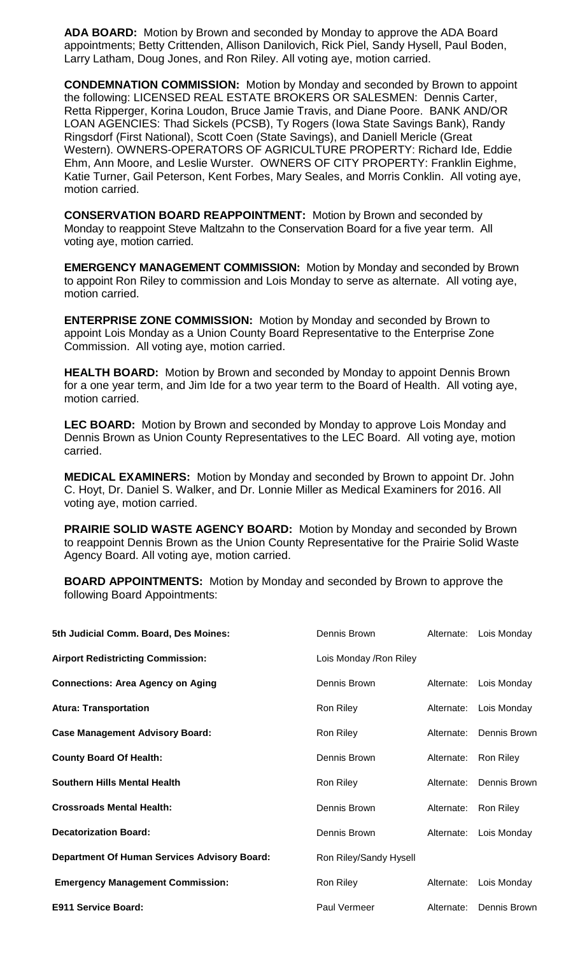**ADA BOARD:** Motion by Brown and seconded by Monday to approve the ADA Board appointments; Betty Crittenden, Allison Danilovich, Rick Piel, Sandy Hysell, Paul Boden, Larry Latham, Doug Jones, and Ron Riley. All voting aye, motion carried.

**CONDEMNATION COMMISSION:** Motion by Monday and seconded by Brown to appoint the following: LICENSED REAL ESTATE BROKERS OR SALESMEN: Dennis Carter, Retta Ripperger, Korina Loudon, Bruce Jamie Travis, and Diane Poore. BANK AND/OR LOAN AGENCIES: Thad Sickels (PCSB), Ty Rogers (Iowa State Savings Bank), Randy Ringsdorf (First National), Scott Coen (State Savings), and Daniell Mericle (Great Western). OWNERS-OPERATORS OF AGRICULTURE PROPERTY: Richard Ide, Eddie Ehm, Ann Moore, and Leslie Wurster. OWNERS OF CITY PROPERTY: Franklin Eighme, Katie Turner, Gail Peterson, Kent Forbes, Mary Seales, and Morris Conklin. All voting aye, motion carried.

**CONSERVATION BOARD REAPPOINTMENT:** Motion by Brown and seconded by Monday to reappoint Steve Maltzahn to the Conservation Board for a five year term. All voting aye, motion carried.

**EMERGENCY MANAGEMENT COMMISSION:** Motion by Monday and seconded by Brown to appoint Ron Riley to commission and Lois Monday to serve as alternate. All voting aye, motion carried.

**ENTERPRISE ZONE COMMISSION:** Motion by Monday and seconded by Brown to appoint Lois Monday as a Union County Board Representative to the Enterprise Zone Commission. All voting aye, motion carried.

**HEALTH BOARD:** Motion by Brown and seconded by Monday to appoint Dennis Brown for a one year term, and Jim Ide for a two year term to the Board of Health. All voting aye, motion carried.

**LEC BOARD:** Motion by Brown and seconded by Monday to approve Lois Monday and Dennis Brown as Union County Representatives to the LEC Board. All voting aye, motion carried.

**MEDICAL EXAMINERS:** Motion by Monday and seconded by Brown to appoint Dr. John C. Hoyt, Dr. Daniel S. Walker, and Dr. Lonnie Miller as Medical Examiners for 2016. All voting aye, motion carried.

**PRAIRIE SOLID WASTE AGENCY BOARD:** Motion by Monday and seconded by Brown to reappoint Dennis Brown as the Union County Representative for the Prairie Solid Waste Agency Board. All voting aye, motion carried.

**BOARD APPOINTMENTS:** Motion by Monday and seconded by Brown to approve the following Board Appointments:

| 5th Judicial Comm. Board, Des Moines:               | Dennis Brown            | Alternate: | Lois Monday  |
|-----------------------------------------------------|-------------------------|------------|--------------|
| <b>Airport Redistricting Commission:</b>            | Lois Monday / Ron Riley |            |              |
| <b>Connections: Area Agency on Aging</b>            | Dennis Brown            | Alternate: | Lois Monday  |
| <b>Atura: Transportation</b>                        | Ron Riley               | Alternate: | Lois Monday  |
| <b>Case Management Advisory Board:</b>              | Ron Riley               | Alternate: | Dennis Brown |
| <b>County Board Of Health:</b>                      | Dennis Brown            | Alternate: | Ron Riley    |
| <b>Southern Hills Mental Health</b>                 | Ron Riley               | Alternate: | Dennis Brown |
| <b>Crossroads Mental Health:</b>                    | Dennis Brown            | Alternate: | Ron Riley    |
| <b>Decatorization Board:</b>                        | Dennis Brown            | Alternate: | Lois Monday  |
| <b>Department Of Human Services Advisory Board:</b> | Ron Riley/Sandy Hysell  |            |              |
| <b>Emergency Management Commission:</b>             | Ron Riley               | Alternate: | Lois Monday  |
| <b>E911 Service Board:</b>                          | Paul Vermeer            | Alternate: | Dennis Brown |